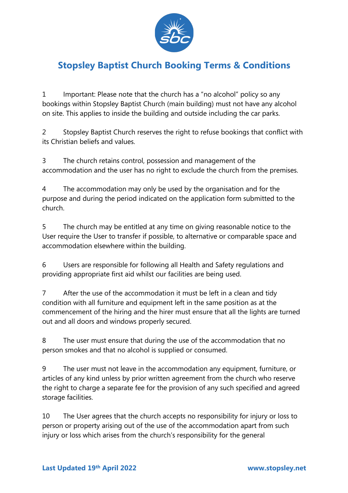

## **Stopsley Baptist Church Booking Terms & Conditions**

1 Important: Please note that the church has a "no alcohol" policy so any bookings within Stopsley Baptist Church (main building) must not have any alcohol on site. This applies to inside the building and outside including the car parks.

2 Stopsley Baptist Church reserves the right to refuse bookings that conflict with its Christian beliefs and values.

3 The church retains control, possession and management of the accommodation and the user has no right to exclude the church from the premises.

4 The accommodation may only be used by the organisation and for the purpose and during the period indicated on the application form submitted to the church.

5 The church may be entitled at any time on giving reasonable notice to the User require the User to transfer if possible, to alternative or comparable space and accommodation elsewhere within the building.

6 Users are responsible for following all Health and Safety regulations and providing appropriate first aid whilst our facilities are being used.

7 After the use of the accommodation it must be left in a clean and tidy condition with all furniture and equipment left in the same position as at the commencement of the hiring and the hirer must ensure that all the lights are turned out and all doors and windows properly secured.

8 The user must ensure that during the use of the accommodation that no person smokes and that no alcohol is supplied or consumed.

9 The user must not leave in the accommodation any equipment, furniture, or articles of any kind unless by prior written agreement from the church who reserve the right to charge a separate fee for the provision of any such specified and agreed storage facilities.

10 The User agrees that the church accepts no responsibility for injury or loss to person or property arising out of the use of the accommodation apart from such injury or loss which arises from the church's responsibility for the general